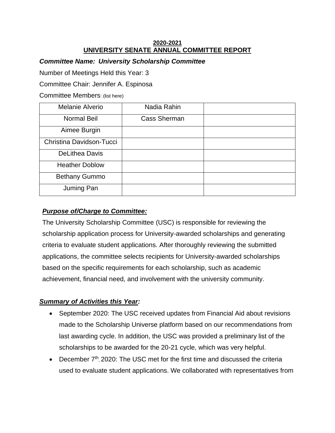#### **2020-2021 UNIVERSITY SENATE ANNUAL COMMITTEE REPORT**

### *Committee Name: University Scholarship Committee*

Number of Meetings Held this Year: 3

Committee Chair: Jennifer A. Espinosa

Committee Members: (list here)

| Melanie Alverio          | Nadia Rahin         |  |
|--------------------------|---------------------|--|
| Normal Beil              | <b>Cass Sherman</b> |  |
| Aimee Burgin             |                     |  |
| Christina Davidson-Tucci |                     |  |
| <b>DeLithea Davis</b>    |                     |  |
| <b>Heather Doblow</b>    |                     |  |
| <b>Bethany Gummo</b>     |                     |  |
| Juming Pan               |                     |  |

## *Purpose of/Charge to Committee:*

The University Scholarship Committee (USC) is responsible for reviewing the scholarship application process for University-awarded scholarships and generating criteria to evaluate student applications. After thoroughly reviewing the submitted applications, the committee selects recipients for University-awarded scholarships based on the specific requirements for each scholarship, such as academic achievement, financial need, and involvement with the university community.

## *Summary of Activities this Year:*

- September 2020: The USC received updates from Financial Aid about revisions made to the Scholarship Universe platform based on our recommendations from last awarding cycle. In addition, the USC was provided a preliminary list of the scholarships to be awarded for the 20-21 cycle, which was very helpful.
- December 7<sup>th</sup>, 2020: The USC met for the first time and discussed the criteria used to evaluate student applications. We collaborated with representatives from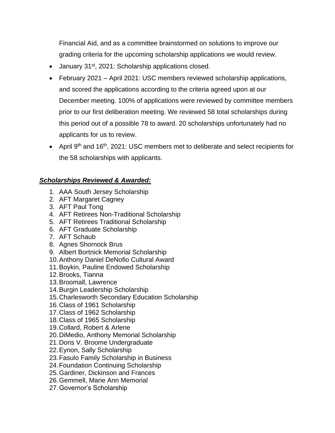Financial Aid, and as a committee brainstormed on solutions to improve our grading criteria for the upcoming scholarship applications we would review.

- January 31<sup>st</sup>, 2021: Scholarship applications closed.
- February 2021 April 2021: USC members reviewed scholarship applications, and scored the applications according to the criteria agreed upon at our December meeting. 100% of applications were reviewed by committee members prior to our first deliberation meeting. We reviewed 58 total scholarships during this period out of a possible 78 to award. 20 scholarships unfortunately had no applicants for us to review.
- April 9<sup>th</sup> and 16<sup>th</sup>, 2021: USC members met to deliberate and select recipients for the 58 scholarships with applicants.

# *Scholarships Reviewed & Awarded:*

- 1. AAA South Jersey Scholarship
- 2. AFT Margaret Cagney
- 3. AFT Paul Tong
- 4. AFT Retirees Non-Traditional Scholarship
- 5. AFT Retirees Traditional Scholarship
- 6. AFT Graduate Scholarship
- 7. AFT Schaub
- 8. Agnes Shornock Brus
- 9. Albert Bortnick Memorial Scholarship
- 10.Anthony Daniel DeNofio Cultural Award
- 11.Boykin, Pauline Endowed Scholarship
- 12.Brooks, Tianna
- 13.Broomall, Lawrence
- 14.Burgin Leadership Scholarship
- 15.Charlesworth Secondary Education Scholarship
- 16.Class of 1961 Scholarship
- 17.Class of 1962 Scholarship
- 18.Class of 1965 Scholarship
- 19.Collard, Robert & Arlene
- 20.DiMedio, Anthony Memorial Scholarship
- 21.Doris V. Broome Undergraduate
- 22.Eynon, Sally Scholarship
- 23.Fasulo Family Scholarship in Business
- 24.Foundation Continuing Scholarship
- 25.Gardiner, Dickinson and Frances
- 26.Gemmell, Marie Ann Memorial
- 27.Governor's Scholarship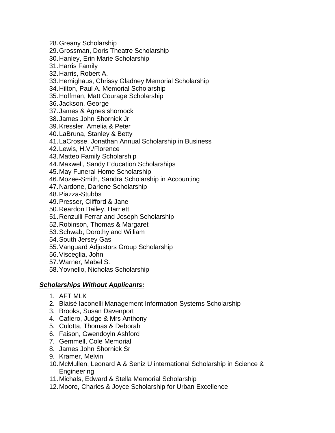- 28.Greany Scholarship
- 29.Grossman, Doris Theatre Scholarship
- 30.Hanley, Erin Marie Scholarship
- 31.Harris Family
- 32.Harris, Robert A.
- 33.Hemighaus, Chrissy Gladney Memorial Scholarship
- 34.Hilton, Paul A. Memorial Scholarship
- 35.Hoffman, Matt Courage Scholarship
- 36.Jackson, George
- 37.James & Agnes shornock
- 38.James John Shornick Jr
- 39.Kressler, Amelia & Peter
- 40.LaBruna, Stanley & Betty
- 41.LaCrosse, Jonathan Annual Scholarship in Business
- 42.Lewis, H.V./Florence
- 43.Matteo Family Scholarship
- 44.Maxwell, Sandy Education Scholarships
- 45.May Funeral Home Scholarship
- 46.Mozee-Smith, Sandra Scholarship in Accounting
- 47.Nardone, Darlene Scholarship
- 48.Piazza-Stubbs
- 49.Presser, Clifford & Jane
- 50.Reardon Bailey, Harriett
- 51.Renzulli Ferrar and Joseph Scholarship
- 52.Robinson, Thomas & Margaret
- 53.Schwab, Dorothy and William
- 54.South Jersey Gas
- 55.Vanguard Adjustors Group Scholarship
- 56.Visceglia, John
- 57.Warner, Mabel S.
- 58.Yovnello, Nicholas Scholarship

#### *Scholarships Without Applicants:*

- 1. AFT MLK
- 2. Blaisé Iaconelli Management Information Systems Scholarship
- 3. Brooks, Susan Davenport
- 4. Cafiero, Judge & Mrs Anthony
- 5. Culotta, Thomas & Deborah
- 6. Faison, Gwendoyln Ashford
- 7. Gemmell, Cole Memorial
- 8. James John Shornick Sr
- 9. Kramer, Melvin
- 10.McMullen, Leonard A & Seniz U international Scholarship in Science & Engineering
- 11.Michals, Edward & Stella Memorial Scholarship
- 12.Moore, Charles & Joyce Scholarship for Urban Excellence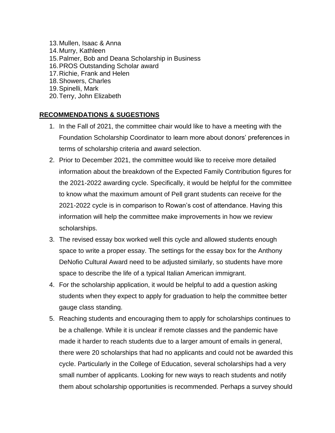13.Mullen, Isaac & Anna 14.Murry, Kathleen 15.Palmer, Bob and Deana Scholarship in Business 16.PROS Outstanding Scholar award 17.Richie, Frank and Helen 18.Showers, Charles 19.Spinelli, Mark

## 20.Terry, John Elizabeth

### **RECOMMENDATIONS & SUGESTIONS**

- 1. In the Fall of 2021, the committee chair would like to have a meeting with the Foundation Scholarship Coordinator to learn more about donors' preferences in terms of scholarship criteria and award selection.
- 2. Prior to December 2021, the committee would like to receive more detailed information about the breakdown of the Expected Family Contribution figures for the 2021-2022 awarding cycle. Specifically, it would be helpful for the committee to know what the maximum amount of Pell grant students can receive for the 2021-2022 cycle is in comparison to Rowan's cost of attendance. Having this information will help the committee make improvements in how we review scholarships.
- 3. The revised essay box worked well this cycle and allowed students enough space to write a proper essay. The settings for the essay box for the Anthony DeNofio Cultural Award need to be adjusted similarly, so students have more space to describe the life of a typical Italian American immigrant.
- 4. For the scholarship application, it would be helpful to add a question asking students when they expect to apply for graduation to help the committee better gauge class standing.
- 5. Reaching students and encouraging them to apply for scholarships continues to be a challenge. While it is unclear if remote classes and the pandemic have made it harder to reach students due to a larger amount of emails in general, there were 20 scholarships that had no applicants and could not be awarded this cycle. Particularly in the College of Education, several scholarships had a very small number of applicants. Looking for new ways to reach students and notify them about scholarship opportunities is recommended. Perhaps a survey should